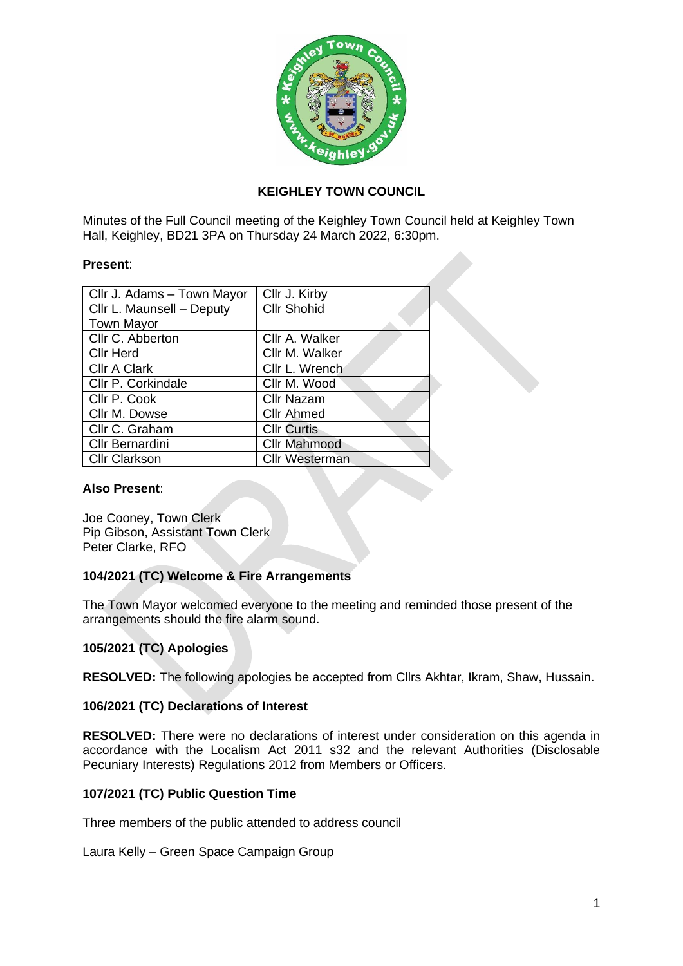

# **KEIGHLEY TOWN COUNCIL**

Minutes of the Full Council meeting of the Keighley Town Council held at Keighley Town Hall, Keighley, BD21 3PA on Thursday 24 March 2022, 6:30pm.

### **Present**:

| Cllr J. Adams - Town Mayor | Cllr J. Kirby         |
|----------------------------|-----------------------|
| Cllr L. Maunsell - Deputy  | <b>Cllr Shohid</b>    |
| <b>Town Mayor</b>          |                       |
| Cllr C. Abberton           | Cllr A. Walker        |
| <b>CIIr Herd</b>           | Cllr M. Walker        |
| <b>Cllr A Clark</b>        | Cllr L. Wrench        |
| Cllr P. Corkindale         | Cllr M. Wood          |
| Cllr P. Cook               | <b>Cllr Nazam</b>     |
| Cllr M. Dowse              | <b>Cllr Ahmed</b>     |
| Cllr C. Graham             | <b>Cllr Curtis</b>    |
| Cllr Bernardini            | <b>Cllr Mahmood</b>   |
| <b>Cllr Clarkson</b>       | <b>Cllr Westerman</b> |

### **Also Present**:

Joe Cooney, Town Clerk Pip Gibson, Assistant Town Clerk Peter Clarke, RFO

# **104/2021 (TC) Welcome & Fire Arrangements**

The Town Mayor welcomed everyone to the meeting and reminded those present of the arrangements should the fire alarm sound.

# **105/2021 (TC) Apologies**

**RESOLVED:** The following apologies be accepted from Cllrs Akhtar, Ikram, Shaw, Hussain.

#### **106/2021 (TC) Declarations of Interest**

**RESOLVED:** There were no declarations of interest under consideration on this agenda in accordance with the Localism Act 2011 s32 and the relevant Authorities (Disclosable Pecuniary Interests) Regulations 2012 from Members or Officers.

# **107/2021 (TC) Public Question Time**

Three members of the public attended to address council

Laura Kelly – Green Space Campaign Group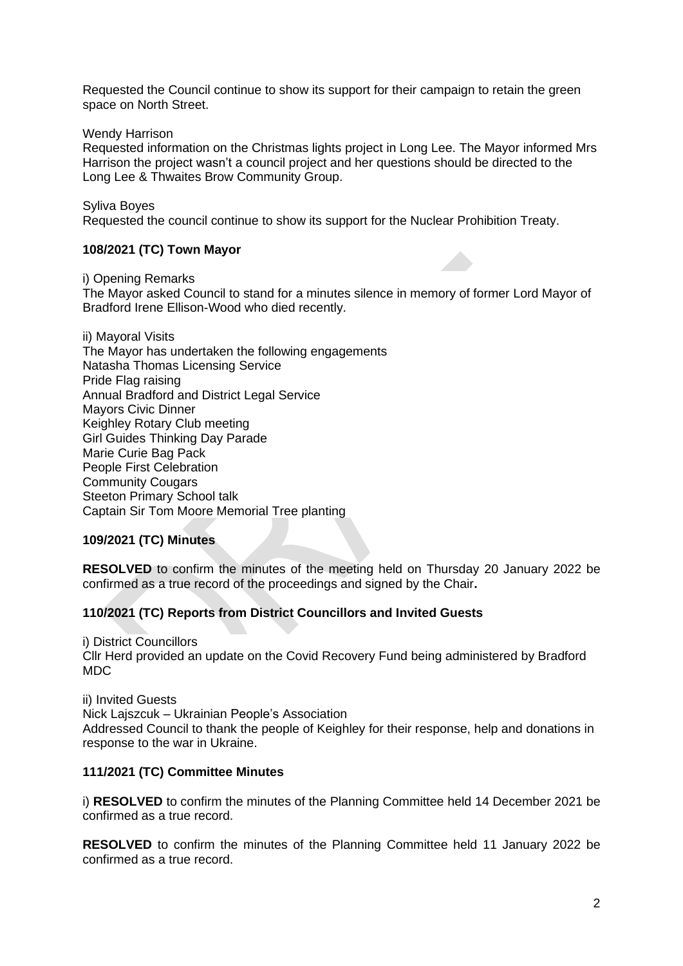Requested the Council continue to show its support for their campaign to retain the green space on North Street.

Wendy Harrison

Requested information on the Christmas lights project in Long Lee. The Mayor informed Mrs Harrison the project wasn't a council project and her questions should be directed to the Long Lee & Thwaites Brow Community Group.

Syliva Boyes

Requested the council continue to show its support for the Nuclear Prohibition Treaty.

# **108/2021 (TC) Town Mayor**

i) Opening Remarks

The Mayor asked Council to stand for a minutes silence in memory of former Lord Mayor of Bradford Irene Ellison-Wood who died recently.

ii) Mayoral Visits The Mayor has undertaken the following engagements Natasha Thomas Licensing Service Pride Flag raising Annual Bradford and District Legal Service Mayors Civic Dinner Keighley Rotary Club meeting Girl Guides Thinking Day Parade Marie Curie Bag Pack People First Celebration Community Cougars Steeton Primary School talk Captain Sir Tom Moore Memorial Tree planting

# **109/2021 (TC) Minutes**

**RESOLVED** to confirm the minutes of the meeting held on Thursday 20 January 2022 be confirmed as a true record of the proceedings and signed by the Chair**.**

# **110/2021 (TC) Reports from District Councillors and Invited Guests**

i) District Councillors Cllr Herd provided an update on the Covid Recovery Fund being administered by Bradford MDC

ii) Invited Guests Nick Lajszcuk – Ukrainian People's Association Addressed Council to thank the people of Keighley for their response, help and donations in response to the war in Ukraine.

# **111/2021 (TC) Committee Minutes**

i) **RESOLVED** to confirm the minutes of the Planning Committee held 14 December 2021 be confirmed as a true record.

**RESOLVED** to confirm the minutes of the Planning Committee held 11 January 2022 be confirmed as a true record.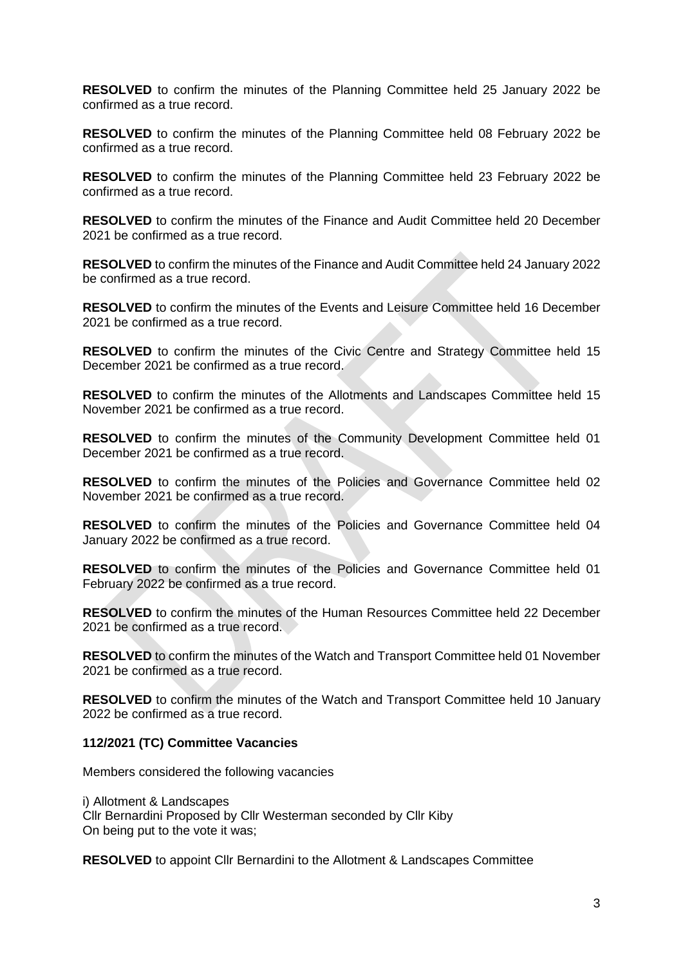**RESOLVED** to confirm the minutes of the Planning Committee held 25 January 2022 be confirmed as a true record.

**RESOLVED** to confirm the minutes of the Planning Committee held 08 February 2022 be confirmed as a true record.

**RESOLVED** to confirm the minutes of the Planning Committee held 23 February 2022 be confirmed as a true record.

**RESOLVED** to confirm the minutes of the Finance and Audit Committee held 20 December 2021 be confirmed as a true record.

**RESOLVED** to confirm the minutes of the Finance and Audit Committee held 24 January 2022 be confirmed as a true record.

**RESOLVED** to confirm the minutes of the Events and Leisure Committee held 16 December 2021 be confirmed as a true record.

**RESOLVED** to confirm the minutes of the Civic Centre and Strategy Committee held 15 December 2021 be confirmed as a true record.

**RESOLVED** to confirm the minutes of the Allotments and Landscapes Committee held 15 November 2021 be confirmed as a true record.

**RESOLVED** to confirm the minutes of the Community Development Committee held 01 December 2021 be confirmed as a true record.

**RESOLVED** to confirm the minutes of the Policies and Governance Committee held 02 November 2021 be confirmed as a true record.

**RESOLVED** to confirm the minutes of the Policies and Governance Committee held 04 January 2022 be confirmed as a true record.

**RESOLVED** to confirm the minutes of the Policies and Governance Committee held 01 February 2022 be confirmed as a true record.

**RESOLVED** to confirm the minutes of the Human Resources Committee held 22 December 2021 be confirmed as a true record.

**RESOLVED** to confirm the minutes of the Watch and Transport Committee held 01 November 2021 be confirmed as a true record.

**RESOLVED** to confirm the minutes of the Watch and Transport Committee held 10 January 2022 be confirmed as a true record.

#### **112/2021 (TC) Committee Vacancies**

Members considered the following vacancies

i) Allotment & Landscapes Cllr Bernardini Proposed by Cllr Westerman seconded by Cllr Kiby On being put to the vote it was;

**RESOLVED** to appoint Cllr Bernardini to the Allotment & Landscapes Committee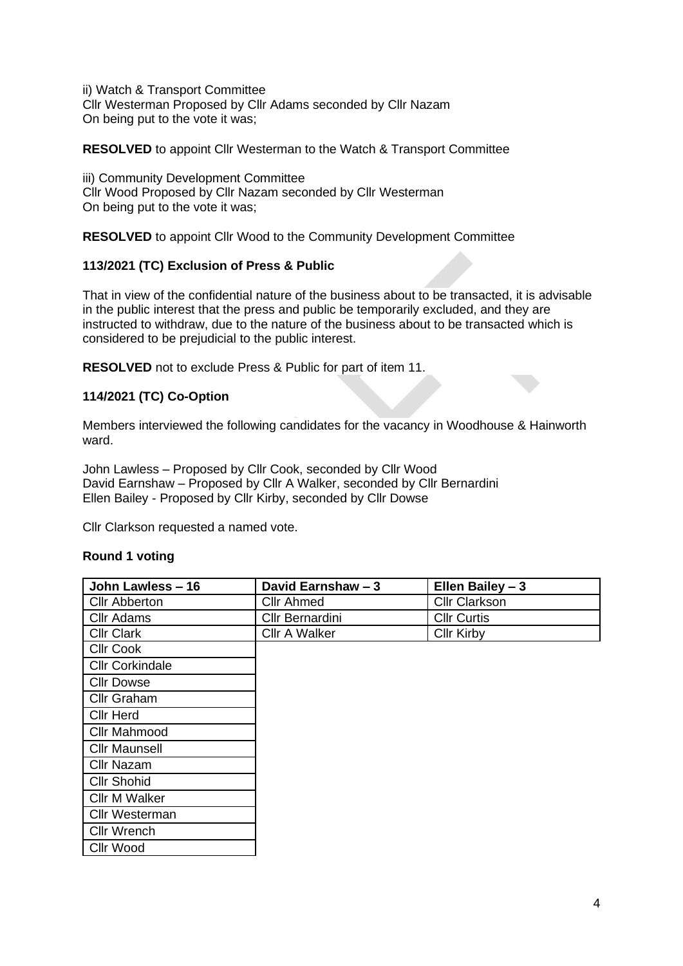ii) Watch & Transport Committee Cllr Westerman Proposed by Cllr Adams seconded by Cllr Nazam On being put to the vote it was;

**RESOLVED** to appoint Cllr Westerman to the Watch & Transport Committee

iii) Community Development Committee Cllr Wood Proposed by Cllr Nazam seconded by Cllr Westerman On being put to the vote it was;

**RESOLVED** to appoint Cllr Wood to the Community Development Committee

# **113/2021 (TC) Exclusion of Press & Public**

That in view of the confidential nature of the business about to be transacted, it is advisable in the public interest that the press and public be temporarily excluded, and they are instructed to withdraw, due to the nature of the business about to be transacted which is considered to be prejudicial to the public interest.

**RESOLVED** not to exclude Press & Public for part of item 11.

# **114/2021 (TC) Co-Option**

Members interviewed the following candidates for the vacancy in Woodhouse & Hainworth ward.

John Lawless – Proposed by Cllr Cook, seconded by Cllr Wood David Earnshaw – Proposed by Cllr A Walker, seconded by Cllr Bernardini Ellen Bailey - Proposed by Cllr Kirby, seconded by Cllr Dowse

Cllr Clarkson requested a named vote.

# **Round 1 voting**

| John Lawless - 16      | David Earnshaw - 3 | Ellen Bailey - 3     |
|------------------------|--------------------|----------------------|
| <b>Cllr Abberton</b>   | <b>Cllr Ahmed</b>  | <b>Cllr Clarkson</b> |
| <b>Cllr Adams</b>      | Cllr Bernardini    | <b>Cllr Curtis</b>   |
| <b>Cllr Clark</b>      | Cllr A Walker      | <b>Cllr Kirby</b>    |
| <b>CIIr Cook</b>       |                    |                      |
| <b>Cllr Corkindale</b> |                    |                      |
| <b>Cllr Dowse</b>      |                    |                      |
| Cllr Graham            |                    |                      |
| <b>Cllr Herd</b>       |                    |                      |
| Cllr Mahmood           |                    |                      |
| <b>Cllr Maunsell</b>   |                    |                      |
| Cllr Nazam             |                    |                      |
| <b>Cllr Shohid</b>     |                    |                      |
| <b>Cllr M Walker</b>   |                    |                      |
| <b>Cllr Westerman</b>  |                    |                      |
| <b>Cllr Wrench</b>     |                    |                      |
| <b>Cllr Wood</b>       |                    |                      |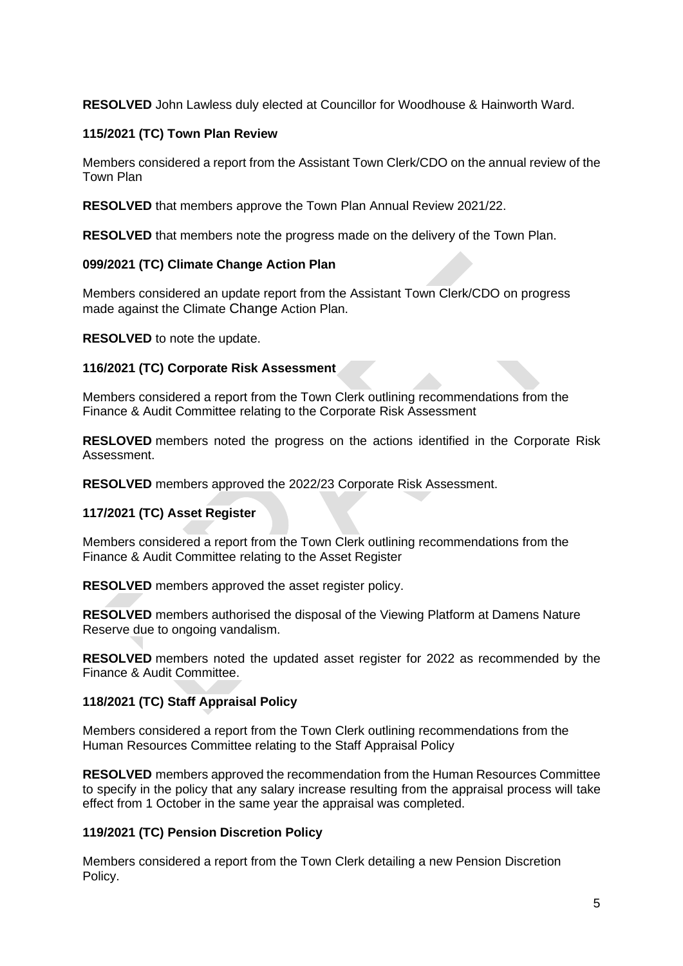**RESOLVED** John Lawless duly elected at Councillor for Woodhouse & Hainworth Ward.

# **115/2021 (TC) Town Plan Review**

Members considered a report from the Assistant Town Clerk/CDO on the annual review of the Town Plan

**RESOLVED** that members approve the Town Plan Annual Review 2021/22.

**RESOLVED** that members note the progress made on the delivery of the Town Plan.

# **099/2021 (TC) Climate Change Action Plan**

Members considered an update report from the Assistant Town Clerk/CDO on progress made against the Climate Change Action Plan.

**RESOLVED** to note the update.

# **116/2021 (TC) Corporate Risk Assessment**

Members considered a report from the Town Clerk outlining recommendations from the Finance & Audit Committee relating to the Corporate Risk Assessment

**RESLOVED** members noted the progress on the actions identified in the Corporate Risk Assessment.

**RESOLVED** members approved the 2022/23 Corporate Risk Assessment.

# **117/2021 (TC) Asset Register**

Members considered a report from the Town Clerk outlining recommendations from the Finance & Audit Committee relating to the Asset Register

**RESOLVED** members approved the asset register policy.

**RESOLVED** members authorised the disposal of the Viewing Platform at Damens Nature Reserve due to ongoing vandalism.

**RESOLVED** members noted the updated asset register for 2022 as recommended by the Finance & Audit Committee.

# **118/2021 (TC) Staff Appraisal Policy**

Members considered a report from the Town Clerk outlining recommendations from the Human Resources Committee relating to the Staff Appraisal Policy

**RESOLVED** members approved the recommendation from the Human Resources Committee to specify in the policy that any salary increase resulting from the appraisal process will take effect from 1 October in the same year the appraisal was completed.

# **119/2021 (TC) Pension Discretion Policy**

Members considered a report from the Town Clerk detailing a new Pension Discretion Policy.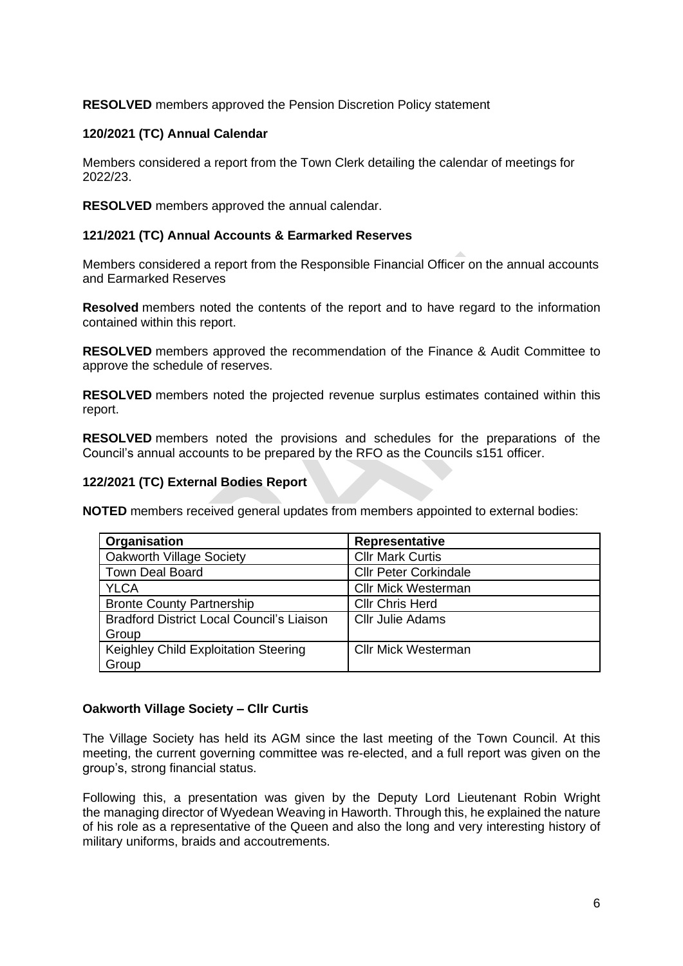# **RESOLVED** members approved the Pension Discretion Policy statement

# **120/2021 (TC) Annual Calendar**

Members considered a report from the Town Clerk detailing the calendar of meetings for 2022/23.

**RESOLVED** members approved the annual calendar.

### **121/2021 (TC) Annual Accounts & Earmarked Reserves**

Members considered a report from the Responsible Financial Officer on the annual accounts and Earmarked Reserves

**Resolved** members noted the contents of the report and to have regard to the information contained within this report.

**RESOLVED** members approved the recommendation of the Finance & Audit Committee to approve the schedule of reserves.

**RESOLVED** members noted the projected revenue surplus estimates contained within this report.

**RESOLVED** members noted the provisions and schedules for the preparations of the Council's annual accounts to be prepared by the RFO as the Councils s151 officer.

### **122/2021 (TC) External Bodies Report**

**NOTED** members received general updates from members appointed to external bodies:

| Organisation                                     | Representative               |
|--------------------------------------------------|------------------------------|
| <b>Oakworth Village Society</b>                  | <b>Cllr Mark Curtis</b>      |
| <b>Town Deal Board</b>                           | <b>Cllr Peter Corkindale</b> |
| <b>YLCA</b>                                      | <b>Cllr Mick Westerman</b>   |
| <b>Bronte County Partnership</b>                 | <b>Cllr Chris Herd</b>       |
| <b>Bradford District Local Council's Liaison</b> | <b>Cllr Julie Adams</b>      |
| Group                                            |                              |
| Keighley Child Exploitation Steering             | <b>Cllr Mick Westerman</b>   |
| Group                                            |                              |

# **Oakworth Village Society – Cllr Curtis**

The Village Society has held its AGM since the last meeting of the Town Council. At this meeting, the current governing committee was re-elected, and a full report was given on the group's, strong financial status.

Following this, a presentation was given by the Deputy Lord Lieutenant Robin Wright the managing director of Wyedean Weaving in Haworth. Through this, he explained the nature of his role as a representative of the Queen and also the long and very interesting history of military uniforms, braids and accoutrements.